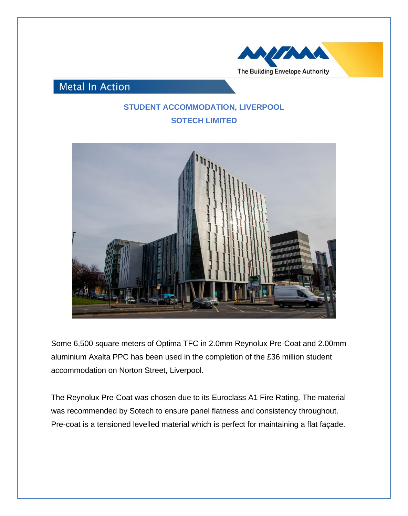

**Metal In Action** 

## **STUDENT ACCOMMODATION, LIVERPOOL SOTECH LIMITED**



Some 6,500 square meters of Optima TFC in 2.0mm Reynolux Pre-Coat and 2.00mm aluminium Axalta PPC has been used in the completion of the £36 million student accommodation on Norton Street, Liverpool.

The Reynolux Pre-Coat was chosen due to its Euroclass A1 Fire Rating. The material was recommended by Sotech to ensure panel flatness and consistency throughout. Pre-coat is a tensioned levelled material which is perfect for maintaining a flat façade.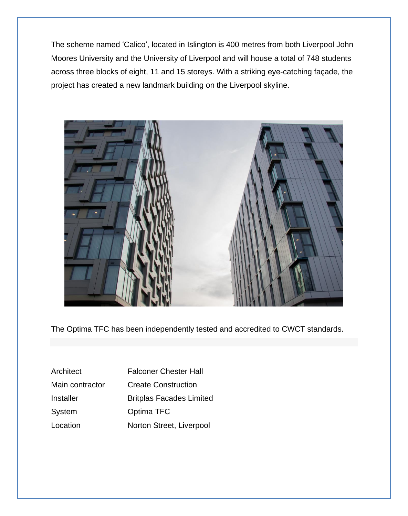The scheme named 'Calico', located in Islington is 400 metres from both Liverpool John Moores University and the University of Liverpool and will house a total of 748 students across three blocks of eight, 11 and 15 storeys. With a striking eye-catching façade, the project has created a new landmark building on the Liverpool skyline.



The Optima TFC has been independently tested and accredited to CWCT standards.

| Architect       | <b>Falconer Chester Hall</b>    |
|-----------------|---------------------------------|
| Main contractor | <b>Create Construction</b>      |
| Installer       | <b>Britplas Facades Limited</b> |
| System          | Optima TFC                      |
| Location        | Norton Street, Liverpool        |